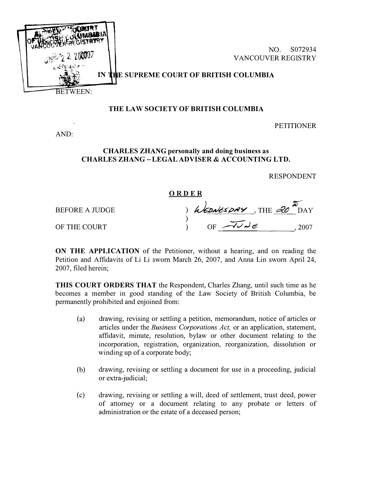

## THE LAW SOCIETY OF BRITISH COLUMBIA

**PETITIONER** 

AND:

## CHARLES ZHANG personally and doing business as CHARLES ZHANG- LEGAL ADVISER & ACCOUNTING LTD.

RESPONDENT

## ORDER

BEFORE A JUDGE ) WEDNESDAY, THE 20  $\overline{P}_{\text{DAY}}$ 

OF THE COURT  $\overrightarrow{OF} \rightarrow \overrightarrow{OC} \rightarrow \overrightarrow{e}$ , 2007

ON THE APPLICATION of the Petitioner, without a hearing, and on reading the Petition and Affidavits of Li Li sworn March 26, 2007, and Anna Lin sworn April 24, 2007, filed herein;

THIS COURT ORDERS THAT the Respondent, Charles Zhang, until such time as he becomes a member in good standing of the Law Society of British Columbia, be permanently prohibited and enjoined from:

- (a) drawing, revising or settling a petition, memorandum, notice of articles or articles under the Business Corporations Act, or an application, statement, affidavit, minute, resolution, bylaw or other document relating to the incorporation, registration, organization, reorganization, dissolution or winding up of a corporate body;
- (b) drawing, revising or settling a document for use in a proceeding, judicial or extra-judicial;
- (c) drawing, revising or settling a will, deed of settlement, trust deed, power of attorney or a document relating to any probate or letters of administration or the estate of a deceased person;